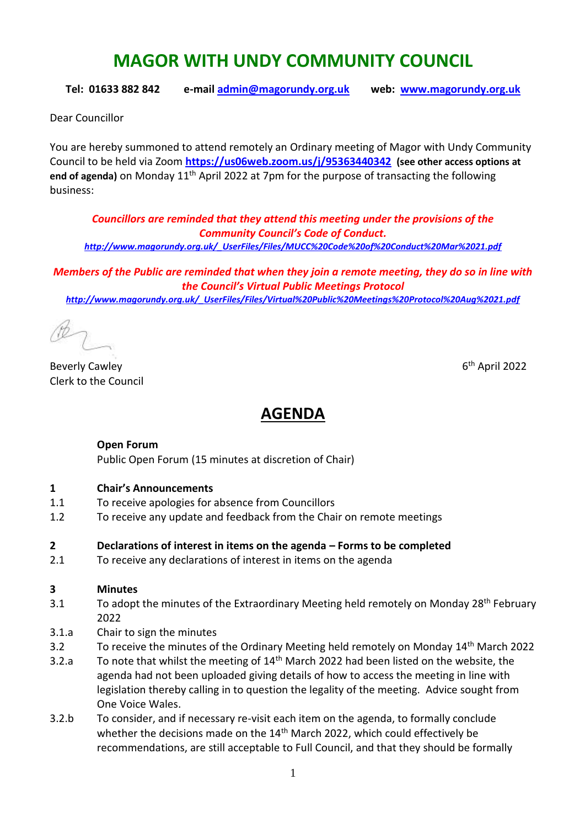# **MAGOR WITH UNDY COMMUNITY COUNCIL**

**Tel: 01633 882 842 e-mail [admin@magorundy.org.uk](mailto:admin@magorundy.org.uk) web: [www.magorundy.org.uk](http://www.magorundy.org.uk/)**

Dear Councillor

You are hereby summoned to attend remotely an Ordinary meeting of Magor with Undy Community Council to be held via Zoom **<https://us06web.zoom.us/j/95363440342> (see other access options at**  end of agenda) on Monday 11<sup>th</sup> April 2022 at 7pm for the purpose of transacting the following business:

*Councillors are reminded that they attend this meeting under the provisions of the Community Council's Code of Conduct. [http://www.magorundy.org.uk/\\_UserFiles/Files/MUCC%20Code%20of%20Conduct%20Mar%2021.pdf](http://www.magorundy.org.uk/_UserFiles/Files/MUCC%20Code%20of%20Conduct%20Mar%2021.pdf)*

*Members of the Public are reminded that when they join a remote meeting, they do so in line with the Council's Virtual Public Meetings Protocol [http://www.magorundy.org.uk/\\_UserFiles/Files/Virtual%20Public%20Meetings%20Protocol%20Aug%2021.pdf](http://www.magorundy.org.uk/_UserFiles/Files/Virtual%20Public%20Meetings%20Protocol%20Aug%2021.pdf)*

**Beverly Cawley** Clerk to the Council

 $6<sup>th</sup>$  April 2022

# **AGENDA**

#### **Open Forum**

Public Open Forum (15 minutes at discretion of Chair)

#### **1 Chair's Announcements**

- 1.1 To receive apologies for absence from Councillors
- 1.2 To receive any update and feedback from the Chair on remote meetings

#### **2 Declarations of interest in items on the agenda – Forms to be completed**

2.1 To receive any declarations of interest in items on the agenda

#### **3 Minutes**

- 3.1 To adopt the minutes of the Extraordinary Meeting held remotely on Monday 28<sup>th</sup> February 2022
- 3.1.a Chair to sign the minutes
- 3.2 To receive the minutes of the Ordinary Meeting held remotely on Monday 14<sup>th</sup> March 2022
- 3.2.a To note that whilst the meeting of  $14<sup>th</sup>$  March 2022 had been listed on the website, the agenda had not been uploaded giving details of how to access the meeting in line with legislation thereby calling in to question the legality of the meeting. Advice sought from One Voice Wales.
- 3.2.b To consider, and if necessary re-visit each item on the agenda, to formally conclude whether the decisions made on the 14<sup>th</sup> March 2022, which could effectively be recommendations, are still acceptable to Full Council, and that they should be formally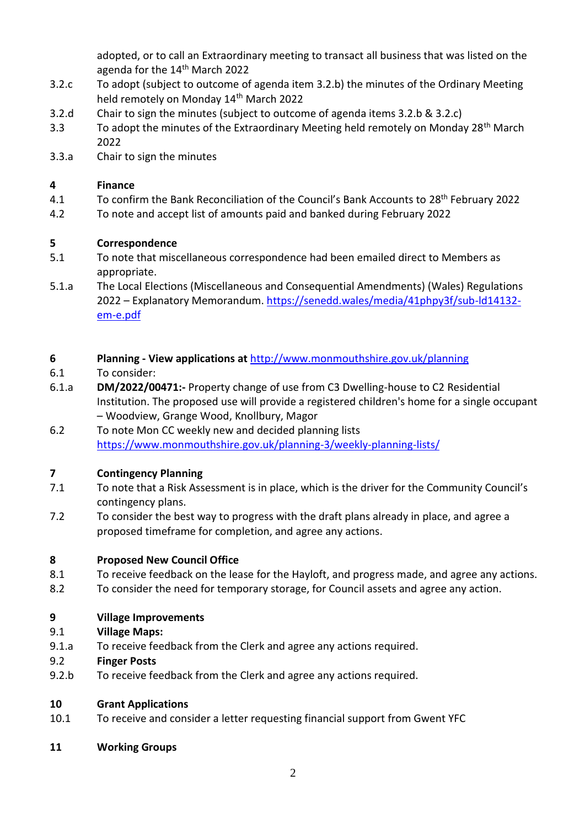adopted, or to call an Extraordinary meeting to transact all business that was listed on the agenda for the 14<sup>th</sup> March 2022

- 3.2.c To adopt (subject to outcome of agenda item 3.2.b) the minutes of the Ordinary Meeting held remotely on Monday 14<sup>th</sup> March 2022
- 3.2.d Chair to sign the minutes (subject to outcome of agenda items 3.2.b & 3.2.c)
- 3.3 To adopt the minutes of the Extraordinary Meeting held remotely on Monday 28<sup>th</sup> March 2022
- 3.3.a Chair to sign the minutes

# **4 Finance**

- 4.1 To confirm the Bank Reconciliation of the Council's Bank Accounts to 28<sup>th</sup> February 2022
- 4.2 To note and accept list of amounts paid and banked during February 2022

# **5 Correspondence**

- 5.1 To note that miscellaneous correspondence had been emailed direct to Members as appropriate.
- 5.1.a The Local Elections (Miscellaneous and Consequential Amendments) (Wales) Regulations 2022 – Explanatory Memorandum. [https://senedd.wales/media/41phpy3f/sub-ld14132](https://senedd.wales/media/41phpy3f/sub-ld14132-em-e.pdf) [em-e.pdf](https://senedd.wales/media/41phpy3f/sub-ld14132-em-e.pdf)

# **6 Planning - View applications at** <http://www.monmouthshire.gov.uk/planning>

- 6.1 To consider:
- 6.1.a **DM/2022/00471:-** Property change of use from C3 Dwelling-house to C2 Residential Institution. The proposed use will provide a registered children's home for a single occupant – Woodview, Grange Wood, Knollbury, Magor
- 6.2 To note Mon CC weekly new and decided planning lists <https://www.monmouthshire.gov.uk/planning-3/weekly-planning-lists/>

# **7 Contingency Planning**

- 7.1 To note that a Risk Assessment is in place, which is the driver for the Community Council's contingency plans.
- 7.2 To consider the best way to progress with the draft plans already in place, and agree a proposed timeframe for completion, and agree any actions.

#### **8 Proposed New Council Office**

- 8.1 To receive feedback on the lease for the Hayloft, and progress made, and agree any actions.
- 8.2 To consider the need for temporary storage, for Council assets and agree any action.

#### **9 Village Improvements**

- 9.1 **Village Maps:**
- 9.1.a To receive feedback from the Clerk and agree any actions required.
- 9.2 **Finger Posts**
- 9.2.b To receive feedback from the Clerk and agree any actions required.

#### **10 Grant Applications**

- 10.1 To receive and consider a letter requesting financial support from Gwent YFC
- **11 Working Groups**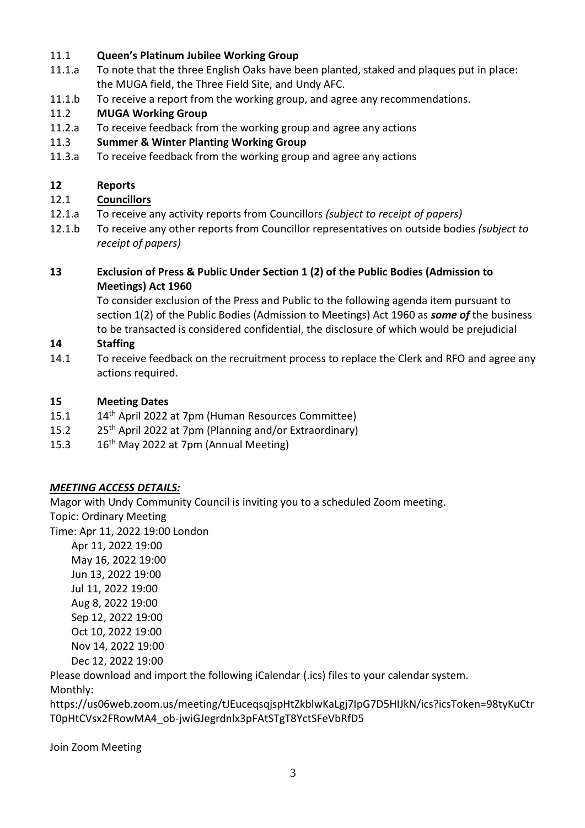#### 11.1 **Queen's Platinum Jubilee Working Group**

- 11.1.a To note that the three English Oaks have been planted, staked and plaques put in place: the MUGA field, the Three Field Site, and Undy AFC.
- 11.1.b To receive a report from the working group, and agree any recommendations.

# 11.2 **MUGA Working Group**

- 11.2.a To receive feedback from the working group and agree any actions
- 11.3 **Summer & Winter Planting Working Group**
- 11.3.a To receive feedback from the working group and agree any actions

#### **12 Reports**

# 12.1 **Councillors**

- 12.1.a To receive any activity reports from Councillors *(subject to receipt of papers)*
- 12.1.b To receive any other reports from Councillor representatives on outside bodies *(subject to receipt of papers)*

# **13 Exclusion of Press & Public Under Section 1 (2) of the Public Bodies (Admission to Meetings) Act 1960**

To consider exclusion of the Press and Public to the following agenda item pursuant to section 1(2) of the Public Bodies (Admission to Meetings) Act 1960 as *some of* the business to be transacted is considered confidential, the disclosure of which would be prejudicial

#### **14 Staffing**

14.1 To receive feedback on the recruitment process to replace the Clerk and RFO and agree any actions required.

#### **15 Meeting Dates**

- 15.1 14<sup>th</sup> April 2022 at 7pm (Human Resources Committee)
- 15.2  $25<sup>th</sup>$  April 2022 at 7pm (Planning and/or Extraordinary)
- 15.3  $16<sup>th</sup>$  May 2022 at 7pm (Annual Meeting)

#### *MEETING ACCESS DETAILS:*

Magor with Undy Community Council is inviting you to a scheduled Zoom meeting. Topic: Ordinary Meeting

Time: Apr 11, 2022 19:00 London

 Apr 11, 2022 19:00 May 16, 2022 19:00 Jun 13, 2022 19:00 Jul 11, 2022 19:00 Aug 8, 2022 19:00 Sep 12, 2022 19:00 Oct 10, 2022 19:00 Nov 14, 2022 19:00 Dec 12, 2022 19:00

Please download and import the following iCalendar (.ics) files to your calendar system.

Monthly:

https://us06web.zoom.us/meeting/tJEuceqsqjspHtZkblwKaLgj7IpG7D5HIJkN/ics?icsToken=98tyKuCtr T0pHtCVsx2FRowMA4\_ob-jwiGJegrdnlx3pFAtSTgT8YctSFeVbRfD5

Join Zoom Meeting